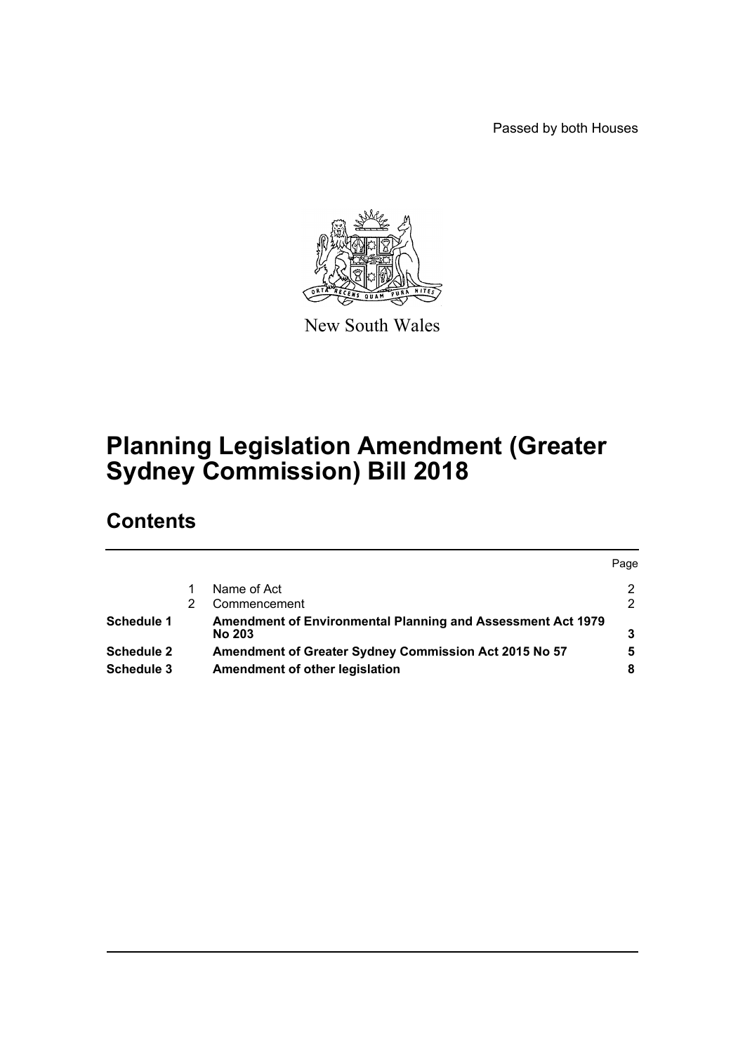Passed by both Houses



New South Wales

# **Planning Legislation Amendment (Greater Sydney Commission) Bill 2018**

# **Contents**

|            |                                                                                     | Page |
|------------|-------------------------------------------------------------------------------------|------|
|            | Name of Act                                                                         | 2    |
|            | Commencement                                                                        | 2    |
| Schedule 1 | <b>Amendment of Environmental Planning and Assessment Act 1979</b><br><b>No 203</b> |      |
| Schedule 2 | Amendment of Greater Sydney Commission Act 2015 No 57                               | 5    |
| Schedule 3 | Amendment of other legislation                                                      |      |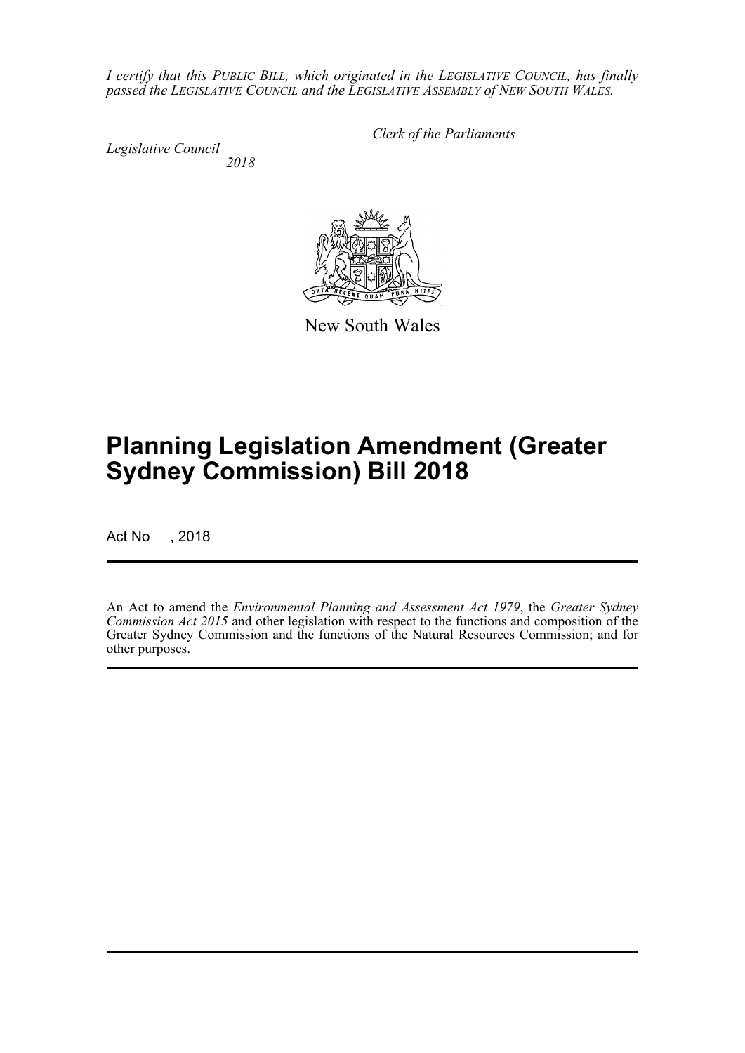*I certify that this PUBLIC BILL, which originated in the LEGISLATIVE COUNCIL, has finally passed the LEGISLATIVE COUNCIL and the LEGISLATIVE ASSEMBLY of NEW SOUTH WALES.*

*Legislative Council 2018* *Clerk of the Parliaments*

New South Wales

# **Planning Legislation Amendment (Greater Sydney Commission) Bill 2018**

Act No , 2018

An Act to amend the *Environmental Planning and Assessment Act 1979*, the *Greater Sydney Commission Act 2015* and other legislation with respect to the functions and composition of the Greater Sydney Commission and the functions of the Natural Resources Commission; and for other purposes.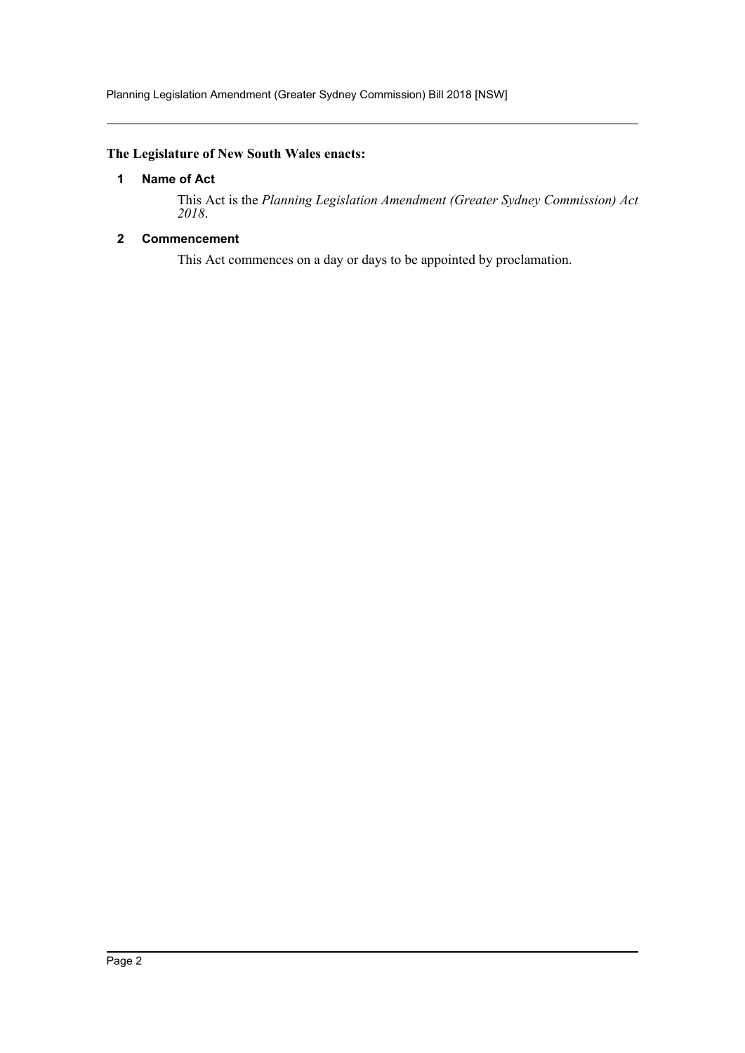## <span id="page-2-0"></span>**The Legislature of New South Wales enacts:**

## **1 Name of Act**

This Act is the *Planning Legislation Amendment (Greater Sydney Commission) Act 2018*.

## <span id="page-2-1"></span>**2 Commencement**

This Act commences on a day or days to be appointed by proclamation.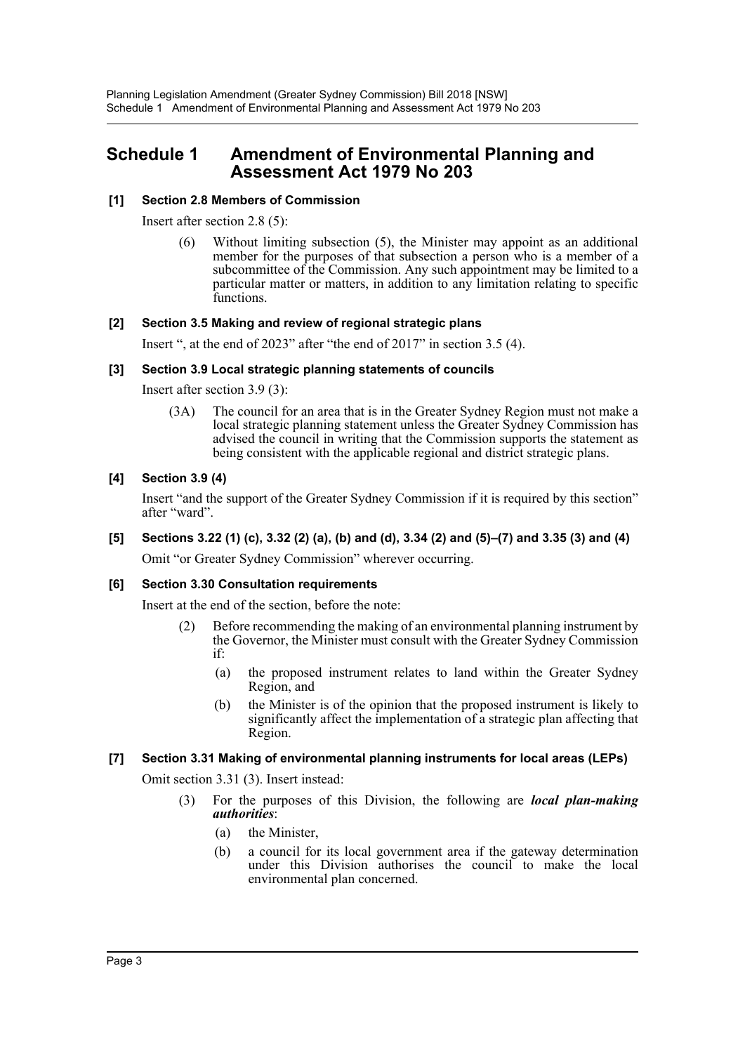# <span id="page-3-0"></span>**Schedule 1 Amendment of Environmental Planning and Assessment Act 1979 No 203**

#### **[1] Section 2.8 Members of Commission**

Insert after section 2.8 (5):

(6) Without limiting subsection (5), the Minister may appoint as an additional member for the purposes of that subsection a person who is a member of a subcommittee of the Commission. Any such appointment may be limited to a particular matter or matters, in addition to any limitation relating to specific functions.

#### **[2] Section 3.5 Making and review of regional strategic plans**

Insert ", at the end of 2023" after "the end of 2017" in section 3.5 (4).

#### **[3] Section 3.9 Local strategic planning statements of councils**

Insert after section 3.9 (3):

(3A) The council for an area that is in the Greater Sydney Region must not make a local strategic planning statement unless the Greater Sydney Commission has advised the council in writing that the Commission supports the statement as being consistent with the applicable regional and district strategic plans.

#### **[4] Section 3.9 (4)**

Insert "and the support of the Greater Sydney Commission if it is required by this section" after "ward".

#### **[5] Sections 3.22 (1) (c), 3.32 (2) (a), (b) and (d), 3.34 (2) and (5)–(7) and 3.35 (3) and (4)**

Omit "or Greater Sydney Commission" wherever occurring.

#### **[6] Section 3.30 Consultation requirements**

Insert at the end of the section, before the note:

- (2) Before recommending the making of an environmental planning instrument by the Governor, the Minister must consult with the Greater Sydney Commission if:
	- (a) the proposed instrument relates to land within the Greater Sydney Region, and
	- (b) the Minister is of the opinion that the proposed instrument is likely to significantly affect the implementation of a strategic plan affecting that Region.

#### **[7] Section 3.31 Making of environmental planning instruments for local areas (LEPs)**

Omit section 3.31 (3). Insert instead:

- (3) For the purposes of this Division, the following are *local plan-making authorities*:
	- (a) the Minister,
	- (b) a council for its local government area if the gateway determination under this Division authorises the council to make the local environmental plan concerned.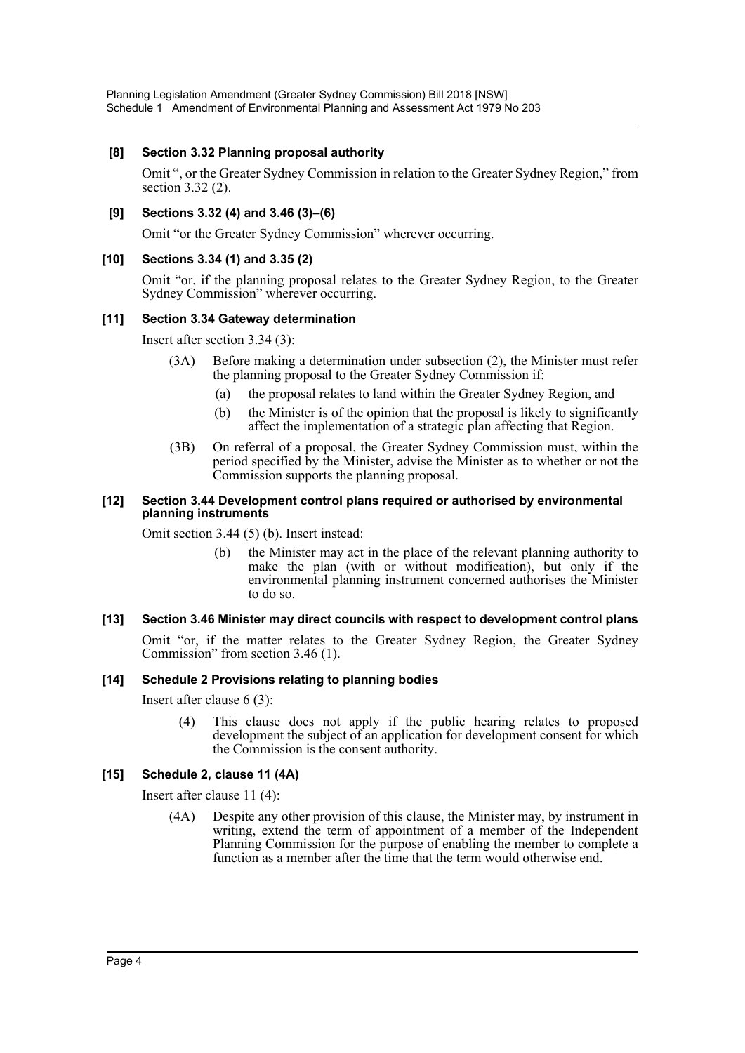#### **[8] Section 3.32 Planning proposal authority**

Omit ", or the Greater Sydney Commission in relation to the Greater Sydney Region," from section 3.32 (2).

#### **[9] Sections 3.32 (4) and 3.46 (3)–(6)**

Omit "or the Greater Sydney Commission" wherever occurring.

#### **[10] Sections 3.34 (1) and 3.35 (2)**

Omit "or, if the planning proposal relates to the Greater Sydney Region, to the Greater Sydney Commission" wherever occurring.

#### **[11] Section 3.34 Gateway determination**

Insert after section 3.34 (3):

- (3A) Before making a determination under subsection (2), the Minister must refer the planning proposal to the Greater Sydney Commission if:
	- (a) the proposal relates to land within the Greater Sydney Region, and
	- (b) the Minister is of the opinion that the proposal is likely to significantly affect the implementation of a strategic plan affecting that Region.
- (3B) On referral of a proposal, the Greater Sydney Commission must, within the period specified by the Minister, advise the Minister as to whether or not the Commission supports the planning proposal.

#### **[12] Section 3.44 Development control plans required or authorised by environmental planning instruments**

Omit section 3.44 (5) (b). Insert instead:

(b) the Minister may act in the place of the relevant planning authority to make the plan (with or without modification), but only if the environmental planning instrument concerned authorises the Minister to do so.

#### **[13] Section 3.46 Minister may direct councils with respect to development control plans**

Omit "or, if the matter relates to the Greater Sydney Region, the Greater Sydney Commission" from section 3.46 (1).

#### **[14] Schedule 2 Provisions relating to planning bodies**

Insert after clause 6 (3):

(4) This clause does not apply if the public hearing relates to proposed development the subject of an application for development consent for which the Commission is the consent authority.

#### **[15] Schedule 2, clause 11 (4A)**

Insert after clause 11 (4):

(4A) Despite any other provision of this clause, the Minister may, by instrument in writing, extend the term of appointment of a member of the Independent Planning Commission for the purpose of enabling the member to complete a function as a member after the time that the term would otherwise end.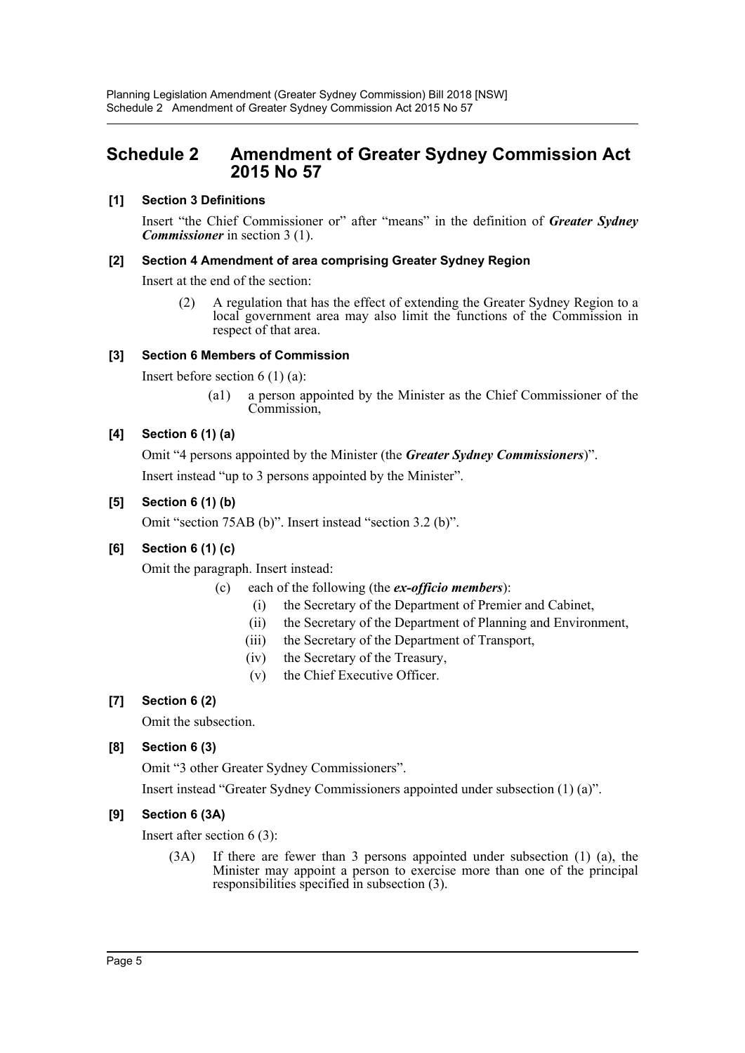# <span id="page-5-0"></span>**Schedule 2 Amendment of Greater Sydney Commission Act 2015 No 57**

## **[1] Section 3 Definitions**

Insert "the Chief Commissioner or" after "means" in the definition of *Greater Sydney Commissioner* in section 3 (1).

#### **[2] Section 4 Amendment of area comprising Greater Sydney Region**

Insert at the end of the section:

(2) A regulation that has the effect of extending the Greater Sydney Region to a local government area may also limit the functions of the Commission in respect of that area.

#### **[3] Section 6 Members of Commission**

Insert before section 6 (1) (a):

(a1) a person appointed by the Minister as the Chief Commissioner of the Commission,

## **[4] Section 6 (1) (a)**

Omit "4 persons appointed by the Minister (the *Greater Sydney Commissioners*)".

Insert instead "up to 3 persons appointed by the Minister".

#### **[5] Section 6 (1) (b)**

Omit "section 75AB (b)". Insert instead "section 3.2 (b)".

## **[6] Section 6 (1) (c)**

Omit the paragraph. Insert instead:

- (c) each of the following (the *ex-officio members*):
	- (i) the Secretary of the Department of Premier and Cabinet,
	- (ii) the Secretary of the Department of Planning and Environment,
	- (iii) the Secretary of the Department of Transport,
	- (iv) the Secretary of the Treasury,
	- (v) the Chief Executive Officer.

## **[7] Section 6 (2)**

Omit the subsection.

## **[8] Section 6 (3)**

Omit "3 other Greater Sydney Commissioners".

Insert instead "Greater Sydney Commissioners appointed under subsection (1) (a)".

## **[9] Section 6 (3A)**

Insert after section 6 (3):

(3A) If there are fewer than 3 persons appointed under subsection (1) (a), the Minister may appoint a person to exercise more than one of the principal responsibilities specified in subsection (3).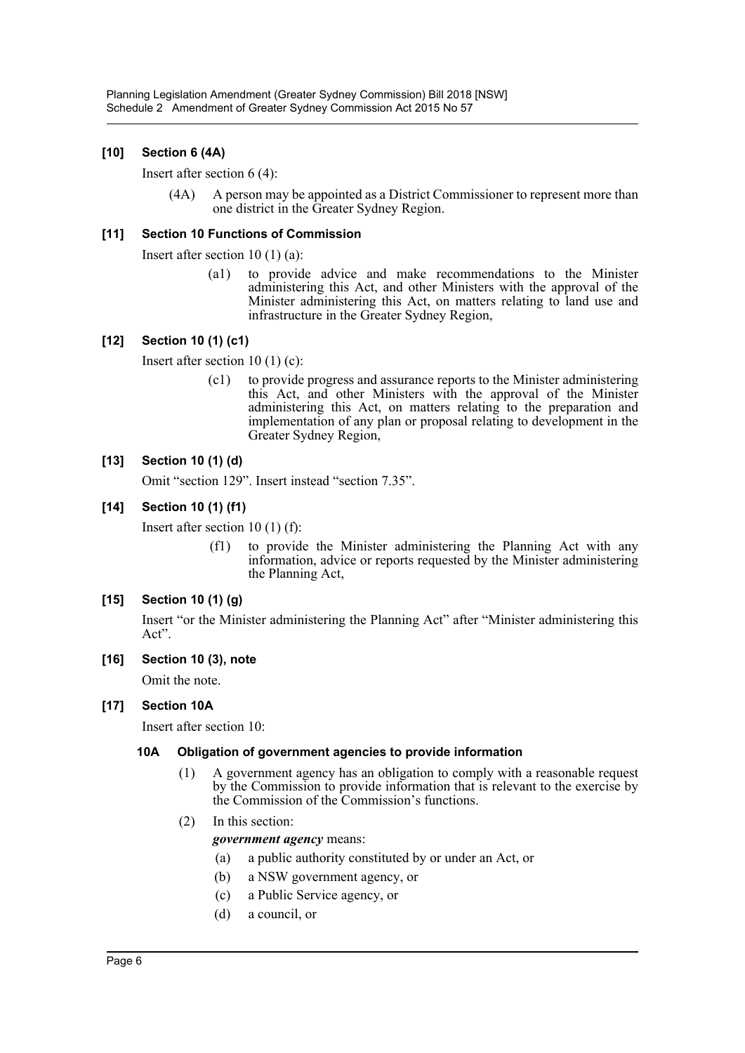## **[10] Section 6 (4A)**

Insert after section 6 (4):

(4A) A person may be appointed as a District Commissioner to represent more than one district in the Greater Sydney Region.

#### **[11] Section 10 Functions of Commission**

Insert after section 10 (1) (a):

(a1) to provide advice and make recommendations to the Minister administering this Act, and other Ministers with the approval of the Minister administering this Act, on matters relating to land use and infrastructure in the Greater Sydney Region,

#### **[12] Section 10 (1) (c1)**

Insert after section 10 (1) (c):

(c1) to provide progress and assurance reports to the Minister administering this Act, and other Ministers with the approval of the Minister administering this Act, on matters relating to the preparation and implementation of any plan or proposal relating to development in the Greater Sydney Region,

#### **[13] Section 10 (1) (d)**

Omit "section 129". Insert instead "section 7.35".

#### **[14] Section 10 (1) (f1)**

Insert after section 10 (1) (f):

(f1) to provide the Minister administering the Planning Act with any information, advice or reports requested by the Minister administering the Planning Act,

#### **[15] Section 10 (1) (g)**

Insert "or the Minister administering the Planning Act" after "Minister administering this Act".

#### **[16] Section 10 (3), note**

Omit the note.

#### **[17] Section 10A**

Insert after section 10:

#### **10A Obligation of government agencies to provide information**

- (1) A government agency has an obligation to comply with a reasonable request by the Commission to provide information that is relevant to the exercise by the Commission of the Commission's functions.
- (2) In this section:

*government agency* means:

- (a) a public authority constituted by or under an Act, or
- (b) a NSW government agency, or
- (c) a Public Service agency, or
- (d) a council, or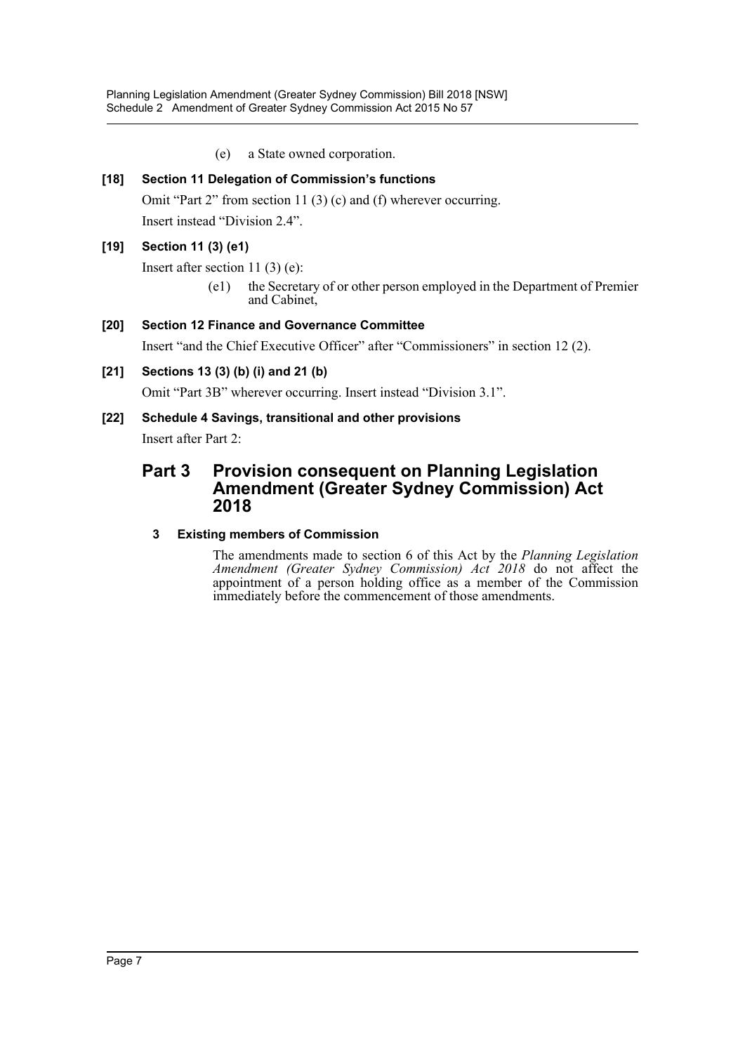(e) a State owned corporation.

# **[18] Section 11 Delegation of Commission's functions**

Omit "Part 2" from section 11 (3) (c) and (f) wherever occurring. Insert instead "Division 2.4".

# **[19] Section 11 (3) (e1)**

Insert after section 11 (3) (e):

(e1) the Secretary of or other person employed in the Department of Premier and Cabinet,

# **[20] Section 12 Finance and Governance Committee**

Insert "and the Chief Executive Officer" after "Commissioners" in section 12 (2).

## **[21] Sections 13 (3) (b) (i) and 21 (b)**

Omit "Part 3B" wherever occurring. Insert instead "Division 3.1".

## **[22] Schedule 4 Savings, transitional and other provisions**

Insert after Part 2:

# **Part 3 Provision consequent on Planning Legislation Amendment (Greater Sydney Commission) Act 2018**

## **3 Existing members of Commission**

The amendments made to section 6 of this Act by the *Planning Legislation Amendment (Greater Sydney Commission) Act 2018* do not affect the appointment of a person holding office as a member of the Commission immediately before the commencement of those amendments.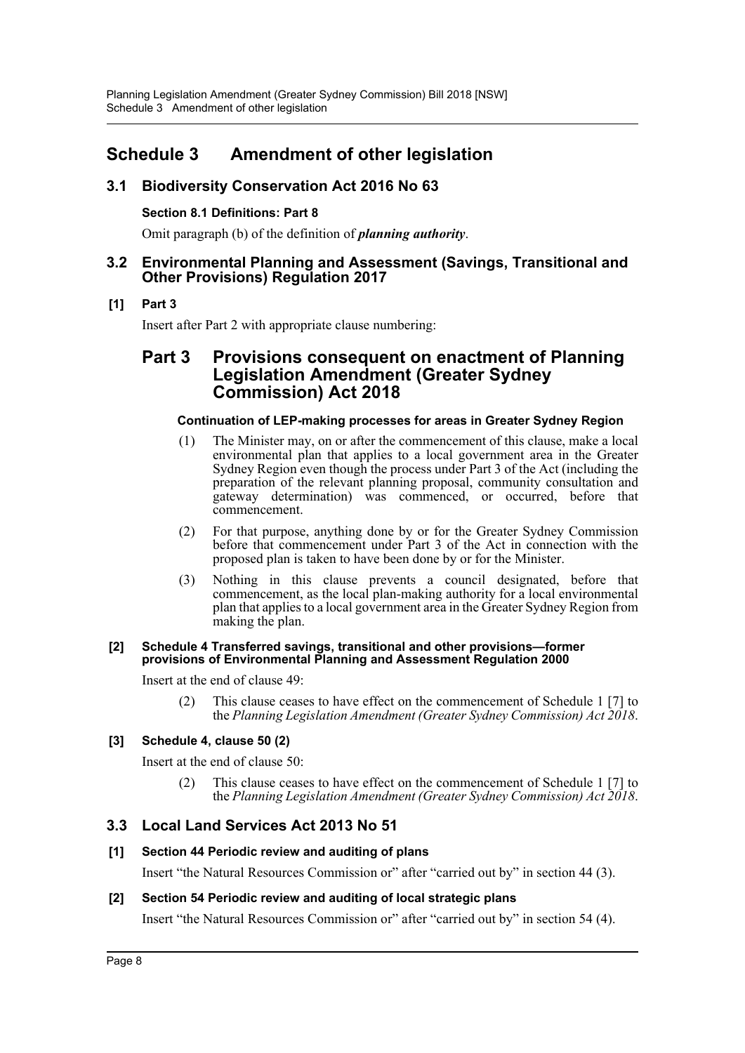# <span id="page-8-0"></span>**Schedule 3 Amendment of other legislation**

# **3.1 Biodiversity Conservation Act 2016 No 63**

## **Section 8.1 Definitions: Part 8**

Omit paragraph (b) of the definition of *planning authority*.

## **3.2 Environmental Planning and Assessment (Savings, Transitional and Other Provisions) Regulation 2017**

# **[1] Part 3**

Insert after Part 2 with appropriate clause numbering:

# **Part 3 Provisions consequent on enactment of Planning Legislation Amendment (Greater Sydney Commission) Act 2018**

## **Continuation of LEP-making processes for areas in Greater Sydney Region**

- (1) The Minister may, on or after the commencement of this clause, make a local environmental plan that applies to a local government area in the Greater Sydney Region even though the process under Part 3 of the Act (including the preparation of the relevant planning proposal, community consultation and gateway determination) was commenced, or occurred, before that commencement.
- (2) For that purpose, anything done by or for the Greater Sydney Commission before that commencement under Part 3 of the Act in connection with the proposed plan is taken to have been done by or for the Minister.
- (3) Nothing in this clause prevents a council designated, before that commencement, as the local plan-making authority for a local environmental plan that applies to a local government area in the Greater Sydney Region from making the plan.

#### **[2] Schedule 4 Transferred savings, transitional and other provisions—former provisions of Environmental Planning and Assessment Regulation 2000**

Insert at the end of clause 49:

(2) This clause ceases to have effect on the commencement of Schedule 1 [7] to the *Planning Legislation Amendment (Greater Sydney Commission) Act 2018*.

## **[3] Schedule 4, clause 50 (2)**

Insert at the end of clause 50:

(2) This clause ceases to have effect on the commencement of Schedule 1 [7] to the *Planning Legislation Amendment (Greater Sydney Commission) Act 2018*.

# **3.3 Local Land Services Act 2013 No 51**

## **[1] Section 44 Periodic review and auditing of plans**

Insert "the Natural Resources Commission or" after "carried out by" in section 44 (3).

## **[2] Section 54 Periodic review and auditing of local strategic plans**

Insert "the Natural Resources Commission or" after "carried out by" in section 54 (4).